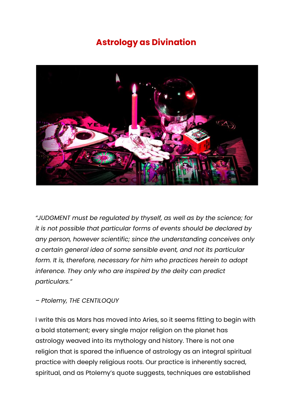## **Astrology as Divination**



*"JUDGMENT must be regulated by thyself, as well as by the science; for it is not possible that particular forms of events should be declared by any person, however scientific; since the understanding conceives only a certain general idea of some sensible event, and not its particular form. It is, therefore, necessary for him who practices herein to adopt inference. They only who are inspired by the deity can predict particulars."*

## *– Ptolemy, THE CENTILOQUY*

I write this as Mars has moved into Aries, so it seems fitting to begin with a bold statement; every single major religion on the planet has astrology weaved into its mythology and history. There is not one religion that is spared the influence of astrology as an integral spiritual practice with deeply religious roots. Our practice is inherently sacred, spiritual, and as Ptolemy's quote suggests, techniques are established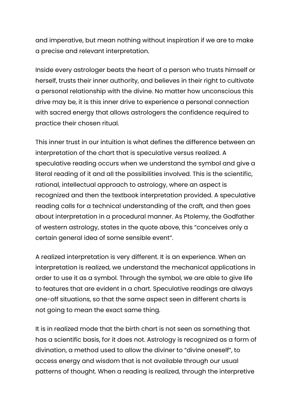and imperative, but mean nothing without inspiration if we are to make a precise and relevant interpretation.

Inside every astrologer beats the heart of a person who trusts himself or herself, trusts their inner authority, and believes in their right to cultivate a personal relationship with the divine. No matter how unconscious this drive may be, it is this inner drive to experience a personal connection with sacred energy that allows astrologers the confidence required to practice their chosen ritual.

This inner trust in our intuition is what defines the difference between an interpretation of the chart that is speculative versus realized. A speculative reading occurs when we understand the symbol and give a literal reading of it and all the possibilities involved. This is the scientific, rational, intellectual approach to astrology, where an aspect is recognized and then the textbook interpretation provided. A speculative reading calls for a technical understanding of the craft, and then goes about interpretation in a procedural manner. As Ptolemy, the Godfather of western astrology, states in the quote above, this "conceives only a certain general idea of some sensible event".

A realized interpretation is very different. It is an experience. When an interpretation is realized, we understand the mechanical applications in order to use it as a symbol. Through the symbol, we are able to give life to features that are evident in a chart. Speculative readings are always one-off situations, so that the same aspect seen in different charts is not going to mean the exact same thing.

It is in realized mode that the birth chart is not seen as something that has a scientific basis, for it does not. Astrology is recognized as a form of divination, a method used to allow the diviner to "divine oneself", to access energy and wisdom that is not available through our usual patterns of thought. When a reading is realized, through the interpretive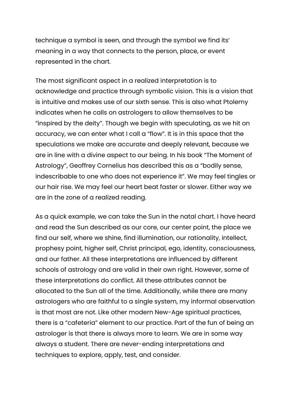technique a symbol is seen, and through the symbol we find its' meaning in a way that connects to the person, place, or event represented in the chart.

The most significant aspect in a realized interpretation is to acknowledge and practice through symbolic vision. This is a vision that is intuitive and makes use of our sixth sense. This is also what Ptolemy indicates when he calls on astrologers to allow themselves to be "inspired by the deity". Though we begin with speculating, as we hit on accuracy, we can enter what I call a "flow". It is in this space that the speculations we make are accurate and deeply relevant, because we are in line with a divine aspect to our being. In his book "The Moment of Astrology", Geoffrey Cornelius has described this as a "bodily sense, indescribable to one who does not experience it". We may feel tingles or our hair rise. We may feel our heart beat faster or slower. Either way we are in the zone of a realized reading.

As a quick example, we can take the Sun in the natal chart. I have heard and read the Sun described as our core, our center point, the place we find our self, where we shine, find illumination, our rationality, intellect, prophesy point, higher self, Christ principal, ego, identity, consciousness, and our father. All these interpretations are influenced by different schools of astrology and are valid in their own right. However, some of these interpretations do conflict. All these attributes cannot be allocated to the Sun all of the time. Additionally, while there are many astrologers who are faithful to a single system, my informal observation is that most are not. Like other modern New-Age spiritual practices, there is a "cafeteria" element to our practice. Part of the fun of being an astrologer is that there is always more to learn. We are in some way always a student. There are never-ending interpretations and techniques to explore, apply, test, and consider.